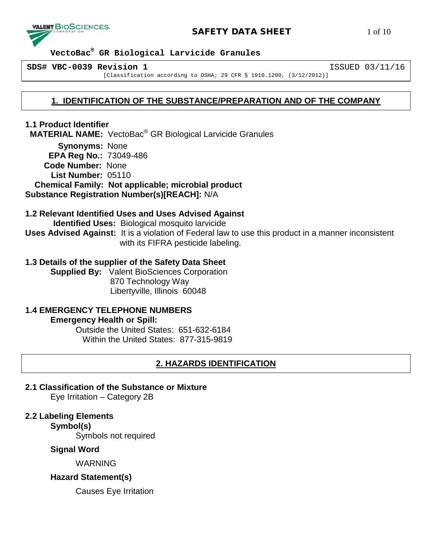

# **SAFETY DATA SHEET** 1 of 10

 **VectoBac® GR Biological Larvicide Granules**

**SDS# VBC-0039 Revision 1** ISSUED 03/11/16

[Classification according to OSHA; 29 CFR § 1910.1200, (3/12/2012)]

# **1. IDENTIFICATION OF THE SUBSTANCE/PREPARATION AND OF THE COMPANY**

**1.1 Product Identifier MATERIAL NAME:** VectoBac® GR Biological Larvicide Granules

 **Synonyms:** None **EPA Reg No.:** 73049-486 **Code Number:** None **List Number:** 05110  **Chemical Family: Not applicable; microbial product**

**Substance Registration Number(s)[REACH]:** N/A

## **1.2 Relevant Identified Uses and Uses Advised Against**

 **Identified Uses:** Biological mosquito larvicide **Uses Advised Against:** It is a violation of Federal law to use this product in a manner inconsistent with its FIFRA pesticide labeling.

# **1.3 Details of the supplier of the Safety Data Sheet**

**Supplied By:** Valent BioSciences Corporation 870 Technology Way Libertyville, Illinois 60048

# **1.4 EMERGENCY TELEPHONE NUMBERS**

**Emergency Health or Spill:**

Outside the United States: 651-632-6184 Within the United States: 877-315-9819

# **2. HAZARDS IDENTIFICATION**

**2.1 Classification of the Substance or Mixture** Eye Irritation – Category 2B

# **2.2 Labeling Elements**

**Symbol(s)**

Symbols not required

# **Signal Word**

WARNING

# **Hazard Statement(s)**

Causes Eye Irritation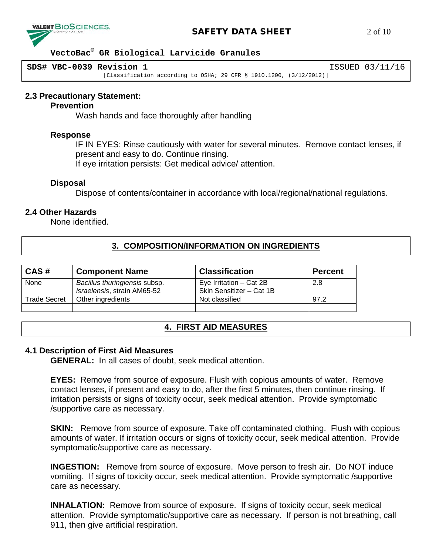

## **SAFETY DATA SHEET** 2 of 10

## **VectoBac® GR Biological Larvicide Granules**

**SDS# VBC-0039 Revision 1** ISSUED 03/11/16

[Classification according to OSHA; 29 CFR § 1910.1200, (3/12/2012)]

#### **2.3 Precautionary Statement:**

#### **Prevention**

Wash hands and face thoroughly after handling

#### **Response**

IF IN EYES: Rinse cautiously with water for several minutes. Remove contact lenses, if present and easy to do. Continue rinsing.

If eye irritation persists: Get medical advice/ attention.

#### **Disposal**

Dispose of contents/container in accordance with local/regional/national regulations.

# **2.4 Other Hazards**

None identified.

# **3. COMPOSITION/INFORMATION ON INGREDIENTS**

| CAS#                | <b>Component Name</b>                                        | <b>Classification</b>                                 | <b>Percent</b> |
|---------------------|--------------------------------------------------------------|-------------------------------------------------------|----------------|
| None                | Bacillus thuringiensis subsp.<br>israelensis, strain AM65-52 | Eye Irritation $-$ Cat 2B<br>Skin Sensitizer - Cat 1B | 2.8            |
| <b>Trade Secret</b> | Other ingredients                                            | Not classified                                        | 97.2           |
|                     |                                                              |                                                       |                |

# **4. FIRST AID MEASURES**

#### **4.1 Description of First Aid Measures**

**GENERAL:** In all cases of doubt, seek medical attention.

**EYES:** Remove from source of exposure. Flush with copious amounts of water. Remove contact lenses, if present and easy to do, after the first 5 minutes, then continue rinsing. If irritation persists or signs of toxicity occur, seek medical attention. Provide symptomatic /supportive care as necessary.

**SKIN:** Remove from source of exposure. Take off contaminated clothing. Flush with copious amounts of water. If irritation occurs or signs of toxicity occur, seek medical attention. Provide symptomatic/supportive care as necessary.

**INGESTION:** Remove from source of exposure. Move person to fresh air. Do NOT induce vomiting. If signs of toxicity occur, seek medical attention. Provide symptomatic /supportive care as necessary.

**INHALATION:** Remove from source of exposure. If signs of toxicity occur, seek medical attention. Provide symptomatic/supportive care as necessary. If person is not breathing, call 911, then give artificial respiration.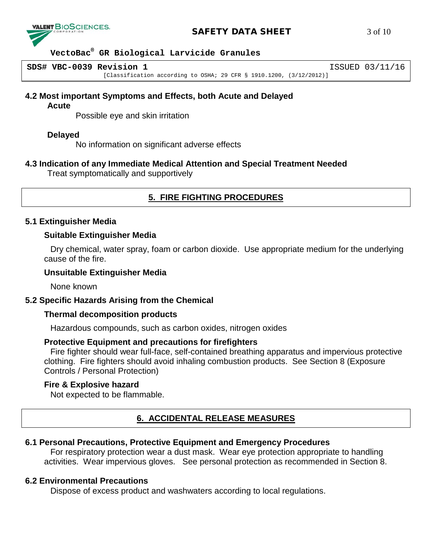

## **SAFETY DATA SHEET** 3 of 10

## **VectoBac® GR Biological Larvicide Granules**

**SDS# VBC-0039 Revision 1** ISSUED 03/11/16

[Classification according to OSHA; 29 CFR § 1910.1200, (3/12/2012)]

## **4.2 Most important Symptoms and Effects, both Acute and Delayed**

#### **Acute**

Possible eye and skin irritation

## **Delayed**

No information on significant adverse effects

## **4.3 Indication of any Immediate Medical Attention and Special Treatment Needed**

Treat symptomatically and supportively

# **5. FIRE FIGHTING PROCEDURES**

## **5.1 Extinguisher Media**

## **Suitable Extinguisher Media**

Dry chemical, water spray, foam or carbon dioxide. Use appropriate medium for the underlying cause of the fire.

## **Unsuitable Extinguisher Media**

None known

# **5.2 Specific Hazards Arising from the Chemical**

## **Thermal decomposition products**

Hazardous compounds, such as carbon oxides, nitrogen oxides

## **Protective Equipment and precautions for firefighters**

Fire fighter should wear full-face, self-contained breathing apparatus and impervious protective clothing. Fire fighters should avoid inhaling combustion products. See Section 8 (Exposure Controls / Personal Protection)

## **Fire & Explosive hazard**

Not expected to be flammable.

# **6. ACCIDENTAL RELEASE MEASURES**

# **6.1 Personal Precautions, Protective Equipment and Emergency Procedures**

For respiratory protection wear a dust mask. Wear eye protection appropriate to handling activities. Wear impervious gloves. See personal protection as recommended in Section 8.

## **6.2 Environmental Precautions**

Dispose of excess product and washwaters according to local regulations.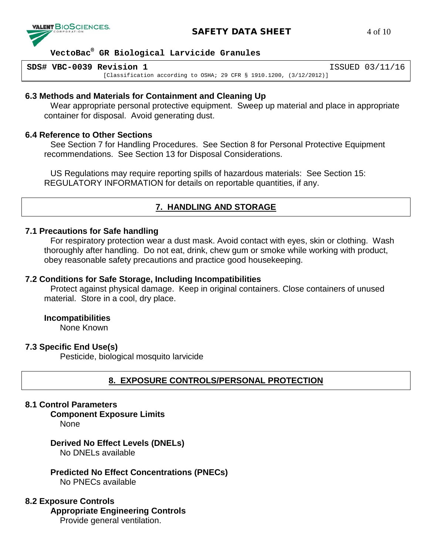

# **SAFETY DATA SHEET** 4 of 10

## **VectoBac® GR Biological Larvicide Granules**

**SDS# VBC-0039 Revision 1** ISSUED 03/11/16 [Classification according to OSHA; 29 CFR § 1910.1200, (3/12/2012)]

## **6.3 Methods and Materials for Containment and Cleaning Up**

Wear appropriate personal protective equipment. Sweep up material and place in appropriate container for disposal. Avoid generating dust.

## **6.4 Reference to Other Sections**

See Section 7 for Handling Procedures. See Section 8 for Personal Protective Equipment recommendations. See Section 13 for Disposal Considerations.

US Regulations may require reporting spills of hazardous materials: See Section 15: REGULATORY INFORMATION for details on reportable quantities, if any.

# **7. HANDLING AND STORAGE**

## **7.1 Precautions for Safe handling**

For respiratory protection wear a dust mask. Avoid contact with eyes, skin or clothing. Wash thoroughly after handling. Do not eat, drink, chew gum or smoke while working with product, obey reasonable safety precautions and practice good housekeeping.

## **7.2 Conditions for Safe Storage, Including Incompatibilities**

Protect against physical damage. Keep in original containers. Close containers of unused material. Store in a cool, dry place.

## **Incompatibilities**

None Known

## **7.3 Specific End Use(s)**

Pesticide, biological mosquito larvicide

# **8. EXPOSURE CONTROLS/PERSONAL PROTECTION**

## **8.1 Control Parameters**

**Component Exposure Limits** 

None

#### **Derived No Effect Levels (DNELs)** No DNELs available

**Predicted No Effect Concentrations (PNECs)** No PNECs available

## **8.2 Exposure Controls**

**Appropriate Engineering Controls**

Provide general ventilation.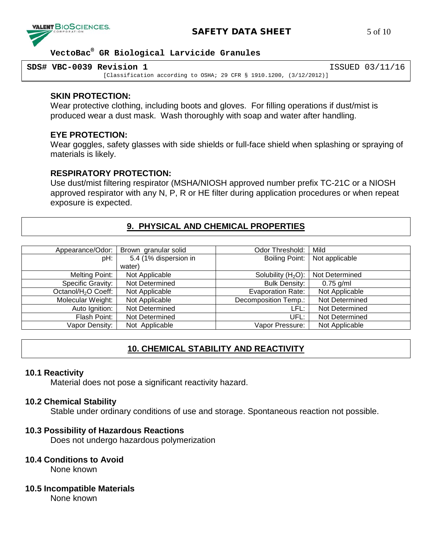

# **SAFETY DATA SHEET** 5 of 10

## **VectoBac® GR Biological Larvicide Granules**

| SDS# VBC-0039 Revision 1 |                                                                        | ISSUED 03/11/16 |
|--------------------------|------------------------------------------------------------------------|-----------------|
|                          | [Classification according to OSHA; 29 CFR $\S$ 1910.1200, (3/12/2012)] |                 |

### **SKIN PROTECTION:**

Wear protective clothing, including boots and gloves. For filling operations if dust/mist is produced wear a dust mask. Wash thoroughly with soap and water after handling.

### **EYE PROTECTION:**

Wear goggles, safety glasses with side shields or full-face shield when splashing or spraying of materials is likely.

## **RESPIRATORY PROTECTION:**

Use dust/mist filtering respirator (MSHA/NIOSH approved number prefix TC-21C or a NIOSH approved respirator with any N, P, R or HE filter during application procedures or when repeat exposure is expected.

# **9. PHYSICAL AND CHEMICAL PROPERTIES**

| Appearance/Odor:                | Brown granular solid  | Odor Threshold:          | Mild           |
|---------------------------------|-----------------------|--------------------------|----------------|
| pH:                             | 5.4 (1% dispersion in | Boiling Point:           | Not applicable |
|                                 | water)                |                          |                |
| Melting Point:                  | Not Applicable        | Solubility $(H2O)$ :     | Not Determined |
| Specific Gravity:               | Not Determined        | <b>Bulk Density:</b>     | $0.75$ g/ml    |
| Octanol/H <sub>2</sub> O Coeff: | Not Applicable        | <b>Evaporation Rate:</b> | Not Applicable |
| Molecular Weight:               | Not Applicable        | Decomposition Temp.:     | Not Determined |
| Auto Ignition:                  | Not Determined        | LFL:                     | Not Determined |
| Flash Point:                    | Not Determined        | UFL:                     | Not Determined |
| Vapor Density:                  | Not Applicable        | Vapor Pressure:          | Not Applicable |
|                                 |                       |                          |                |

# **10. CHEMICAL STABILITY AND REACTIVITY**

#### **10.1 Reactivity**

Material does not pose a significant reactivity hazard.

#### **10.2 Chemical Stability**

Stable under ordinary conditions of use and storage. Spontaneous reaction not possible.

## **10.3 Possibility of Hazardous Reactions**

Does not undergo hazardous polymerization

### **10.4 Conditions to Avoid**

None known

#### **10.5 Incompatible Materials**

None known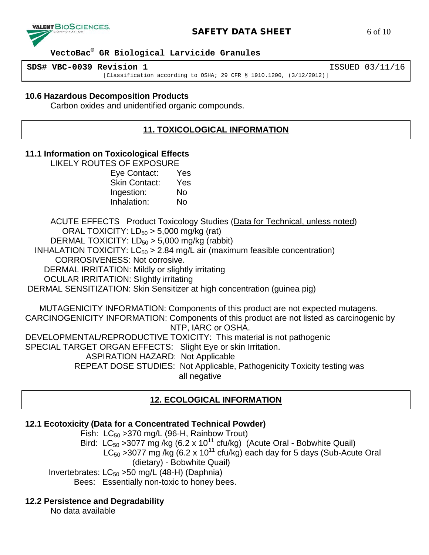

# **SAFETY DATA SHEET** 6 of 10

 **VectoBac® GR Biological Larvicide Granules**

**SDS# VBC-0039 Revision 1** ISSUED 03/11/16

[Classification according to OSHA; 29 CFR § 1910.1200, (3/12/2012)]

## **10.6 Hazardous Decomposition Products**

Carbon oxides and unidentified organic compounds.

# **11. TOXICOLOGICAL INFORMATION**

## **11.1 Information on Toxicological Effects**

LIKELY ROUTES OF EXPOSURE

| Eye Contact:         | Yes |
|----------------------|-----|
| <b>Skin Contact:</b> | Yes |
| Ingestion:           | No  |
| Inhalation:          | No  |

ACUTE EFFECTS Product Toxicology Studies (Data for Technical, unless noted) ORAL TOXICITY:  $LD_{50} > 5,000$  mg/kg (rat)

DERMAL TOXICITY:  $LD_{50} > 5,000$  mg/kg (rabbit)

INHALATION TOXICITY:  $LC_{50} > 2.84$  mg/L air (maximum feasible concentration)

CORROSIVENESS: Not corrosive.

DERMAL IRRITATION: Mildly or slightly irritating

OCULAR IRRITATION: Slightly irritating

DERMAL SENSITIZATION: Skin Sensitizer at high concentration (guinea pig)

 MUTAGENICITY INFORMATION: Components of this product are not expected mutagens. CARCINOGENICITY INFORMATION: Components of this product are not listed as carcinogenic by NTP, IARC or OSHA. DEVELOPMENTAL/REPRODUCTIVE TOXICITY: This material is not pathogenic SPECIAL TARGET ORGAN EFFECTS: Slight Eye or skin Irritation. ASPIRATION HAZARD: Not Applicable

> REPEAT DOSE STUDIES: Not Applicable, Pathogenicity Toxicity testing was all negative

# **12. ECOLOGICAL INFORMATION**

# **12.1 Ecotoxicity (Data for a Concentrated Technical Powder)**

Fish:  $LC_{50}$  > 370 mg/L (96-H, Rainbow Trout) Bird: LC<sub>50</sub> > 3077 mg /kg (6.2 x 10<sup>11</sup> cfu/kg) (Acute Oral - Bobwhite Quail) LC<sub>50</sub> >3077 mg /kg (6.2 x 10<sup>11</sup> cfu/kg) each day for 5 days (Sub-Acute Oral (dietary) - Bobwhite Quail) Invertebrates:  $LC_{50}$  >50 mg/L (48-H) (Daphnia) Bees: Essentially non-toxic to honey bees.

# **12.2 Persistence and Degradability**

No data available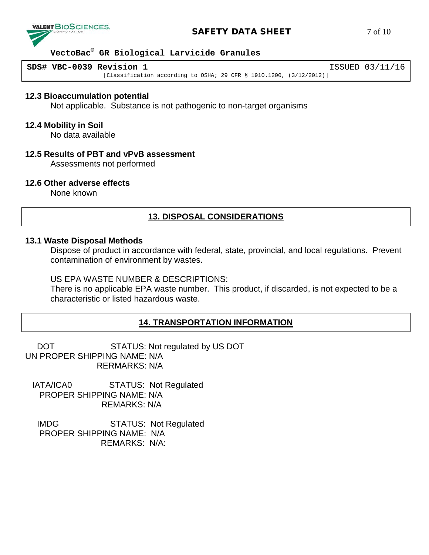

## **SAFETY DATA SHEET** 7 of 10

## **VectoBac® GR Biological Larvicide Granules**

**SDS# VBC-0039 Revision 1** ISSUED 03/11/16

[Classification according to OSHA; 29 CFR § 1910.1200, (3/12/2012)]

#### **12.3 Bioaccumulation potential**

Not applicable. Substance is not pathogenic to non-target organisms

#### **12.4 Mobility in Soil**

No data available

#### **12.5 Results of PBT and vPvB assessment**

Assessments not performed

## **12.6 Other adverse effects**

None known

# **13. DISPOSAL CONSIDERATIONS**

#### **13.1 Waste Disposal Methods**

Dispose of product in accordance with federal, state, provincial, and local regulations. Prevent contamination of environment by wastes.

#### US EPA WASTE NUMBER & DESCRIPTIONS:

There is no applicable EPA waste number. This product, if discarded, is not expected to be a characteristic or listed hazardous waste.

# **14. TRANSPORTATION INFORMATION**

DOT STATUS: Not regulated by US DOT UN PROPER SHIPPING NAME: N/A RERMARKS: N/A

 IATA/ICA0 STATUS: Not Regulated PROPER SHIPPING NAME: N/A REMARKS: N/A

 IMDG STATUS: Not Regulated PROPER SHIPPING NAME: N/A REMARKS: N/A: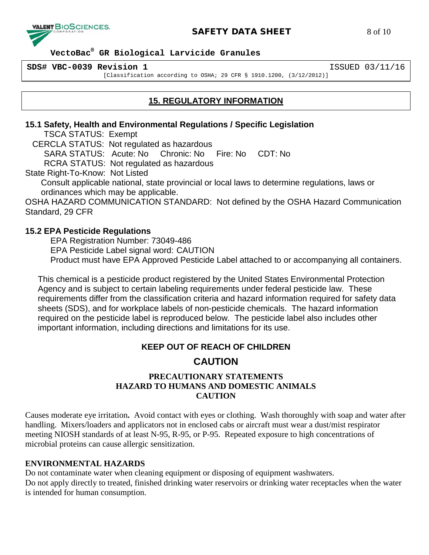

# **SAFETY DATA SHEET** 8 of 10

## **VectoBac® GR Biological Larvicide Granules**

**SDS# VBC-0039 Revision 1** ISSUED 03/11/16

[Classification according to OSHA; 29 CFR § 1910.1200, (3/12/2012)]

# **15. REGULATORY INFORMATION**

## **15.1 Safety, Health and Environmental Regulations / Specific Legislation**

TSCA STATUS: Exempt

CERCLA STATUS: Not regulated as hazardous

SARA STATUS: Acute: No Chronic: No Fire: No CDT: No

RCRA STATUS: Not regulated as hazardous

State Right-To-Know: Not Listed

Consult applicable national, state provincial or local laws to determine regulations, laws or ordinances which may be applicable.

OSHA HAZARD COMMUNICATION STANDARD: Not defined by the OSHA Hazard Communication Standard, 29 CFR

# **15.2 EPA Pesticide Regulations**

EPA Registration Number: 73049-486 EPA Pesticide Label signal word: CAUTION Product must have EPA Approved Pesticide Label attached to or accompanying all containers.

This chemical is a pesticide product registered by the United States Environmental Protection Agency and is subject to certain labeling requirements under federal pesticide law. These requirements differ from the classification criteria and hazard information required for safety data sheets (SDS), and for workplace labels of non-pesticide chemicals. The hazard information required on the pesticide label is reproduced below. The pesticide label also includes other important information, including directions and limitations for its use.

# **KEEP OUT OF REACH OF CHILDREN**

# **CAUTION**

# **PRECAUTIONARY STATEMENTS HAZARD TO HUMANS AND DOMESTIC ANIMALS CAUTION**

Causes moderate eye irritation**.** Avoid contact with eyes or clothing. Wash thoroughly with soap and water after handling. Mixers/loaders and applicators not in enclosed cabs or aircraft must wear a dust/mist respirator meeting NIOSH standards of at least N-95, R-95, or P-95. Repeated exposure to high concentrations of microbial proteins can cause allergic sensitization.

# **ENVIRONMENTAL HAZARDS**

Do not contaminate water when cleaning equipment or disposing of equipment washwaters. Do not apply directly to treated, finished drinking water reservoirs or drinking water receptacles when the water is intended for human consumption.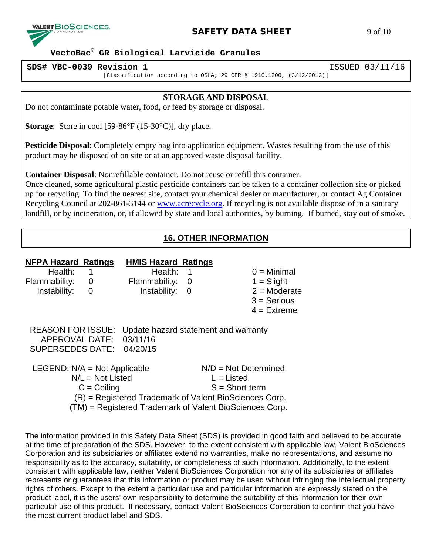

# **SAFETY DATA SHEET** 9 of 10

## **VectoBac® GR Biological Larvicide Granules**

**SDS# VBC-0039 Revision 1** ISSUED 03/11/16

[Classification according to OSHA; 29 CFR § 1910.1200, (3/12/2012)]

#### **STORAGE AND DISPOSAL**

Do not contaminate potable water, food, or feed by storage or disposal.

**Storage:** Store in cool [59-86°F (15-30°C)], dry place.

**Pesticide Disposal**: Completely empty bag into application equipment. Wastes resulting from the use of this product may be disposed of on site or at an approved waste disposal facility.

**Container Disposal**: Nonrefillable container. Do not reuse or refill this container.

Once cleaned, some agricultural plastic pesticide containers can be taken to a container collection site or picked up for recycling. To find the nearest site, contact your chemical dealer or manufacturer, or contact Ag Container Recycling Council at 202-861-3144 or [www.acrecycle.org.](http://www.acrecycle.org/) If recycling is not available dispose of in a sanitary landfill, or by incineration, or, if allowed by state and local authorities, by burning. If burned, stay out of smoke.

# **16. OTHER INFORMATION**

| <b>NFPA Hazard Ratings</b><br>Health:<br>Flammability:<br>Instability:       | 0<br>0                              | <b>HMIS Hazard Ratings</b><br>Health:<br>Flammability:<br>Instability:                                            | 1<br>0<br>0 |                                                            | $0 =$ Minimal<br>$1 =$ Slight<br>$2 =$ Moderate<br>$3 =$ Serious<br>$4 =$ Extreme |
|------------------------------------------------------------------------------|-------------------------------------|-------------------------------------------------------------------------------------------------------------------|-------------|------------------------------------------------------------|-----------------------------------------------------------------------------------|
| <b>REASON FOR ISSUE:</b><br><b>APPROVAL DATE:</b><br><b>SUPERSEDES DATE:</b> |                                     | Update hazard statement and warranty<br>03/11/16<br>04/20/15                                                      |             |                                                            |                                                                                   |
| LEGEND: $N/A = Not$ Applicable                                               | $N/L = Not$ Listed<br>$C = Ceiling$ | (R) = Registered Trademark of Valent BioSciences Corp.<br>(TM) = Registered Trademark of Valent BioSciences Corp. |             | $N/D = Not Determined$<br>$L =$ Listed<br>$S = Short-term$ |                                                                                   |

The information provided in this Safety Data Sheet (SDS) is provided in good faith and believed to be accurate at the time of preparation of the SDS. However, to the extent consistent with applicable law, Valent BioSciences Corporation and its subsidiaries or affiliates extend no warranties, make no representations, and assume no responsibility as to the accuracy, suitability, or completeness of such information. Additionally, to the extent consistent with applicable law, neither Valent BioSciences Corporation nor any of its subsidiaries or affiliates represents or guarantees that this information or product may be used without infringing the intellectual property rights of others. Except to the extent a particular use and particular information are expressly stated on the product label, it is the users' own responsibility to determine the suitability of this information for their own particular use of this product. If necessary, contact Valent BioSciences Corporation to confirm that you have the most current product label and SDS.